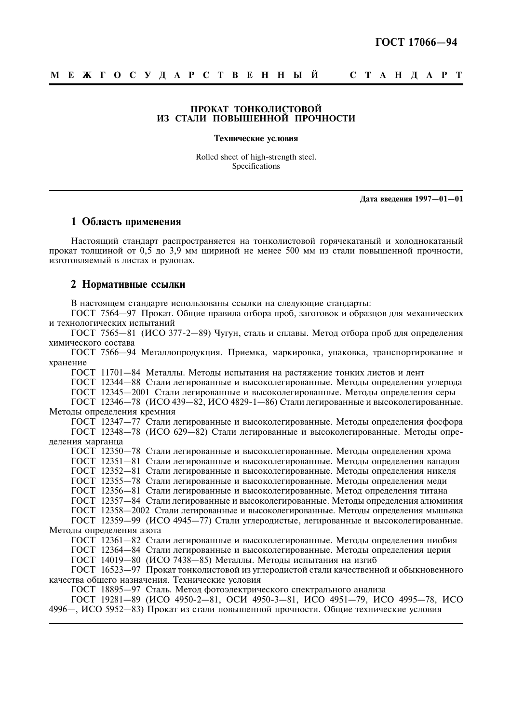### ПРОКАТ ТОНКОЛИСТОВОЙ ИЗ СТАЛИ ПОВЫШЕННОЙ ПРОЧНОСТИ

#### Технические условия

Rolled sheet of high-strength steel. Specifications

Дата введения 1997-01-01

## 1 Область применения

Настояний станларт распространяется на тонколистовой горячекатаный и хололнокатаный прокат толщиной от 0.5 до 3.9 мм шириной не менее 500 мм из стали повышенной прочности, изготовляемый в листах и рулонах.

#### 2 Нормативные ссылки

В настоящем стандарте использованы ссылки на следующие стандарты:

ГОСТ 7564—97 Прокат. Общие правила отбора проб, заготовок и образцов для механических и технологических испытаний

ГОСТ 7565-81 (ИСО 377-2-89) Чугун, сталь и сплавы. Метод отбора проб для определения химического состава

ГОСТ 7566-94 Металлопродукция. Приемка, маркировка, упаковка, транспортирование и хранение

ГОСТ 11701-84 Металлы. Методы испытания на растяжение тонких листов и лент

ГОСТ 12344-88 Стали легированные и высоколегированные. Методы определения углерода

ГОСТ 12345-2001 Стали легированные и высоколегированные. Методы определения серы

ГОСТ 12346-78 (ИСО 439-82, ИСО 4829-1-86) Стали легированные и высоколегированные. Методы определения кремния

ГОСТ 12347-77 Стали легированные и высоколегированные. Методы определения фосфора ГОСТ 12348-78 (ИСО 629-82) Стали легированные и высоколегированные. Метолы определения марганца

ГОСТ 12350-78 Стали легированные и высоколегированные. Методы определения хрома

ГОСТ 12351-81 Стали легированные и высоколегированные. Методы определения ванадия

ГОСТ 12352-81 Стали легированные и высоколегированные. Методы определения никеля

ГОСТ 12355-78 Стали легированные и высоколегированные. Методы определения меди

ГОСТ 12356-81 Стали легированные и высоколегированные. Метод определения титана

ГОСТ 12357-84 Стали легированные и высоколегированные. Методы определения алюминия

ГОСТ 12358-2002 Стали легированные и высоколегированные. Методы определения мышьяка

ГОСТ 12359-99 (ИСО 4945-77) Стали углеродистые, легированные и высоколегированные. Метолы определения азота

ГОСТ 12361-82 Стали легированные и высоколегированные. Методы определения ниобия

ГОСТ 12364-84 Стали легированные и высоколегированные. Метолы определения церия

ГОСТ 14019-80 (ИСО 7438-85) Металлы. Методы испытания на изгиб

ГОСТ 16523-97 Прокат тонколистовой из углеродистой стали качественной и обыкновенного качества общего назначения. Технические условия

ГОСТ 18895-97 Сталь. Метод фотоэлектрического спектрального анализа

ГОСТ 19281-89 (ИСО 4950-2-81, ОСИ 4950-3-81, ИСО 4951-79, ИСО 4995-78, ИСО 4996—, ИСО 5952—83) Прокат из стали повышенной прочности. Обшие технические условия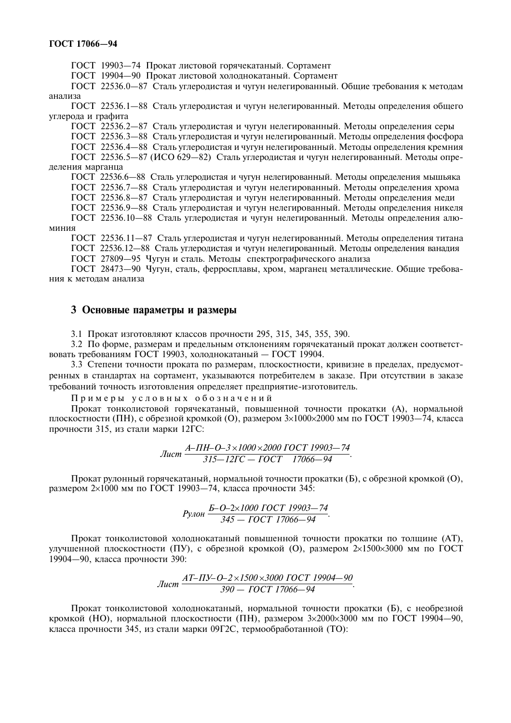ГОСТ 19903-74 Прокат листовой горячекатаный. Сортамент

ГОСТ 19904-90 Прокат листовой холоднокатаный. Сортамент

ГОСТ 22536.0-87 Сталь углеродистая и чугун нелегированный. Общие требования к методам анализа

ГОСТ 22536.1-88 Сталь углеродистая и чугун нелегированный. Методы определения общего углерода и графита

ГОСТ 22536.2-87 Сталь углеродистая и чугун нелегированный. Методы определения серы

ГОСТ 22536.3-88 Сталь углеродистая и чугун нелегированный. Методы определения фосфора

ГОСТ 22536.4—88 Сталь углеролистая и чугун нелегированный. Метолы определения кремния

ГОСТ 22536.5-87 (ИСО 629-82) Сталь углеродистая и чугун нелегированный. Методы определения марганца

ГОСТ 22536.6-88 Сталь углеродистая и чугун нелегированный. Методы определения мышьяка

ГОСТ 22536.7-88 Сталь углеродистая и чугун нелегированный. Методы определения хрома

ГОСТ 22536.8-87 Сталь углеродистая и чугун нелегированный. Методы определения меди

ГОСТ 22536.9-88 Сталь углеродистая и чугун нелегированный. Методы определения никеля

ГОСТ 22536.10-88 Сталь углеродистая и чугун нелегированный. Методы определения алюминия

ГОСТ 22536.11-87 Сталь углеродистая и чугун нелегированный. Методы определения титана ГОСТ 22536.12-88 Сталь углеродистая и чугун нелегированный. Методы определения ванадия ГОСТ 27809-95 Чугун и сталь. Методы спектрографического анализа

ГОСТ 28473-90 Чугун, сталь, ферросплавы, хром, марганец металлические. Общие требования к метолам анализа

## 3 Основные параметры и размеры

3.1 Прокат изготовляют классов прочности 295, 315, 345, 355, 390.

3.2 По форме, размерам и предельным отклонениям горячекатаный прокат должен соответствовать требованиям ГОСТ 19903, холоднокатаный - ГОСТ 19904.

3.3 Степени точности проката по размерам, плоскостности, кривизне в пределах, предусмотренных в стандартах на сортамент, указываются потребителем в заказе. При отсутствии в заказе требований точность изготовления определяет предприятие-изготовитель.

Примеры условных обозначений

Прокат тонколистовой горячекатаный, повышенной точности прокатки (А), нормальной плоскостности (ПН), с обрезной кромкой (O), размером  $3\times1000\times2000$  мм по ГОСТ 19903—74, класса прочности 315, из стали марки 12ГС:

$$
Jucm \frac{A - \Pi H - O - 3 \times 1000 \times 2000 \text{ TOCT } 19903 - 74}{315 - 12\Gamma C - T OCT}.
$$

Прокат рулонный горячекатаный, нормальной точности прокатки (Б), с обрезной кромкой (О), размером 2×1000 мм по ГОСТ 19903-74, класса прочности 345:

$$
P_{Y10H} \frac{E-O-2\times1000\;TOCT\;19903-74}{345-\;TOCT\;17066-94}.
$$

Прокат тонколистовой холоднокатаный повышенной точности прокатки по толщине (AT), улучшенной плоскостности (ПУ), с обрезной кромкой (О), размером 2×1500×3000 мм по ГОСТ 19904-90, класса прочности 390:

$$
Jucm \frac{AT - IIY - O - 2 \times 1500 \times 3000 \text{ TOCT } 19904 - 90}{390 - \text{TOCT } 17066 - 94}.
$$

Прокат тонколистовой холоднокатаный, нормальной точности прокатки (Б), с необрезной кромкой (HO), нормальной плоскостности (ПН), размером  $3\times2000\times3000$  мм по ГОСТ 19904-90, класса прочности 345, из стали марки 09Г2С, термообработанной (ТО):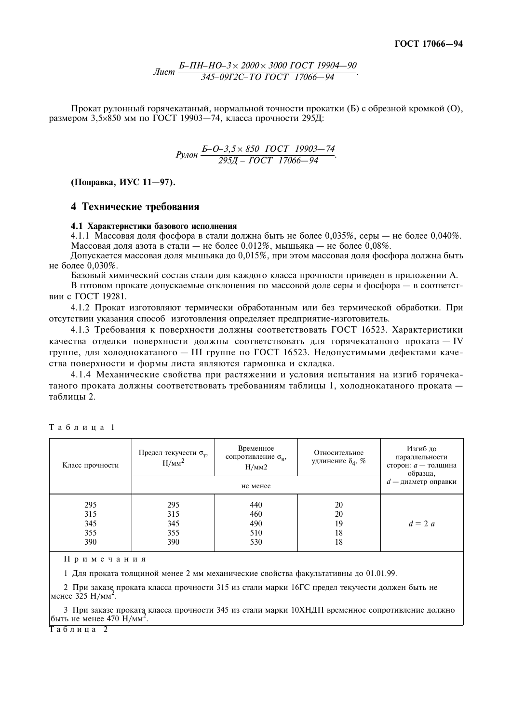Прокат рулонный горячекатаный, нормальной точности прокатки (Б) с обрезной кромкой (О), размером 3.5×850 мм по ГОСТ 19903-74, класса прочности 295Д:

$$
P_{Y10H} \frac{E-O-3,5\times850\quadTOCT\quad19903-74}{295A-TOCT\quad17066-94}.
$$

(Поправка, ИУС 11-97).

## 4 Технические требования

#### 4.1 Характеристики базового исполнения

4.1.1 Массовая доля фосфора в стали должна быть не более 0.035%, серы — не более 0.040%. Массовая доля азота в стали — не более 0,012%, мышьяка — не более 0,08%.

Допускается массовая доля мышьяка до 0,015%, при этом массовая доля фосфора должна быть не более 0.030%.

Базовый химический состав стали для каждого класса прочности приведен в приложении А.

В готовом прокате допускаемые отклонения по массовой доле серы и фосфора - в соответствии с ГОСТ 19281.

4.1.2 Прокат изготовляют термически обработанным или без термической обработки. При отсутствии указания способ изготовления определяет предприятие-изготовитель.

4.1.3 Требования к поверхности должны соответствовать ГОСТ 16523. Характеристики качества отделки поверхности должны соответствовать для горячекатаного проката - IV группе, для холоднокатаного - III группе по ГОСТ 16523. Недопустимыми дефектами качества поверхности и формы листа являются гармошка и складка.

4.1.4 Механические свойства при растяжении и условия испытания на изгиб горячекатаного проката должны соответствовать требованиям таблицы 1, холоднокатаного проката таблины 2.

| Класс прочности                 | Предел текучести $\sigma_{\rm T}$ ,<br>$H/MM^2$ | Временное<br>сопротивление $\sigma_{\rm B}$ ,<br>H/MM2 | Относительное<br>удлинение $\delta_4$ , % | Изгиб до<br>параллельности<br>сторон: <i>а</i> - толщина<br>образца, |
|---------------------------------|-------------------------------------------------|--------------------------------------------------------|-------------------------------------------|----------------------------------------------------------------------|
|                                 |                                                 | не менее                                               |                                           | $d$ — диаметр оправки                                                |
| 295<br>315<br>345<br>355<br>390 | 295<br>315<br>345<br>355<br>390                 | 440<br>460<br>490<br>510<br>530                        | 20<br>20<br>19<br>18<br>18                | $d=2a$                                                               |

Таблица 1

Примечания

1 Для проката толщиной менее 2 мм механические свойства факультативны до 01.01.99.

2 При заказе проката класса прочности 315 из стали марки 16ГС предел текучести должен быть не менее  $325 H/Mm^2$ .

3 При заказе проката класса прочности 345 из стали марки 10ХНДП временное сопротивление должно быть не менее 470  $H/\text{mm}^2$ .

Таблина 2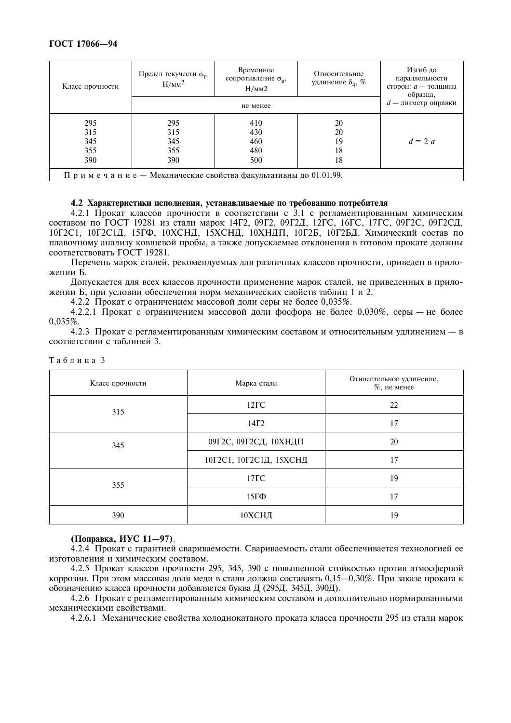| Класс прочности                                               | Предел текучести $\sigma_{\rm T}$ ,<br>$H/MM^2$ | Временное<br>сопротивление $\sigma_{\rm B}$ ,<br>H/MM2 | Относительное<br>удлинение $\delta_4$ , % | Изгиб до<br>параллельности<br>сторон: <i>а</i> - толщина<br>образца, |  |
|---------------------------------------------------------------|-------------------------------------------------|--------------------------------------------------------|-------------------------------------------|----------------------------------------------------------------------|--|
|                                                               |                                                 | $d$ — диаметр оправки                                  |                                           |                                                                      |  |
| 295                                                           | 295                                             | 410                                                    | 20                                        |                                                                      |  |
| 315                                                           | 315                                             | 430                                                    | 20                                        |                                                                      |  |
| 345                                                           | 345                                             | 460                                                    | 19                                        | $d=2a$                                                               |  |
| 355                                                           | 355                                             | 480                                                    | 18                                        |                                                                      |  |
| 390                                                           | 390                                             | 500                                                    | 18                                        |                                                                      |  |
| Примечание — Механические свойства факультативны до 01.01.99. |                                                 |                                                        |                                           |                                                                      |  |

#### 4.2 Характеристики исполнения, устанавливаемые по требованию потребителя

4.2.1 Прокат классов прочности в соответствии с 3.1 с регламентированным химическим составом по ГОСТ 19281 из стали марок 14Г2, 09Г2, 09Г2Д, 12ГС, 16ГС, 17ГС, 09Г2С, 09Г2СД, 10Г2С1, 10Г2С1Д, 15ГФ, 10ХСНД, 15ХСНД, 10ХНДП, 10Г2Б, 10Г2БД. Химический состав по плавочному анализу ковшевой пробы, а также допускаемые отклонения в готовом прокате должны соответствовать ГОСТ 19281.

Перечень марок сталей, рекомендуемых для различных классов прочности, приведен в приложении Б.

Допускается для всех классов прочности применение марок сталей, не приведенных в приложении Б, при условии обеспечения норм механических свойств таблиц 1 и 2.

4.2.2 Прокат с ограничением массовой доли серы не более 0,035%.

4.2.2.1 Прокат с ограничением массовой доли фосфора не более 0,030%, серы — не более  $0.035\%$ 

4.2.3 Прокат с регламентированным химическим составом и относительным удлинением - в соответствии с таблиней 3.

| Класс прочности | Марка стали             | Относительное удлинение,<br>$%$ , не менее |
|-----------------|-------------------------|--------------------------------------------|
| 315             | $12\Gamma C$            | 22                                         |
|                 | $14\Gamma2$             | 17                                         |
| 345             | 09Г2С, 09Г2СД, 10ХНДП   | 20                                         |
|                 | 10Г2С1, 10Г2С1Д, 15ХСНД | 17                                         |
| 355             | $17\Gamma C$            | 19                                         |
|                 | $15\Gamma\Phi$          | 17                                         |
| 390             | 10ХСНД                  | 19                                         |

|  |  |  | Таблица 3 |
|--|--|--|-----------|
|  |  |  |           |

### (Поправка, ИУС 11-97).

4.2.4 Прокат с гарантией свариваемости. Свариваемость стали обеспечивается технологией ее изготовления и химическим составом.

4.2.5 Прокат классов прочности 295, 345, 390 с повышенной стойкостью против атмосферной коррозии. При этом массовая доля меди в стали должна составлять 0,15—0,30%. При заказе проката к обозначению класса прочности добавляется буква Д (295Д, 345Д, 390Д).

4.2.6 Прокат с регламентированным химическим составом и дополнительно нормированными механическими свойствами.

4.2.6.1 Механические свойства холоднокатаного проката класса прочности 295 из стали марок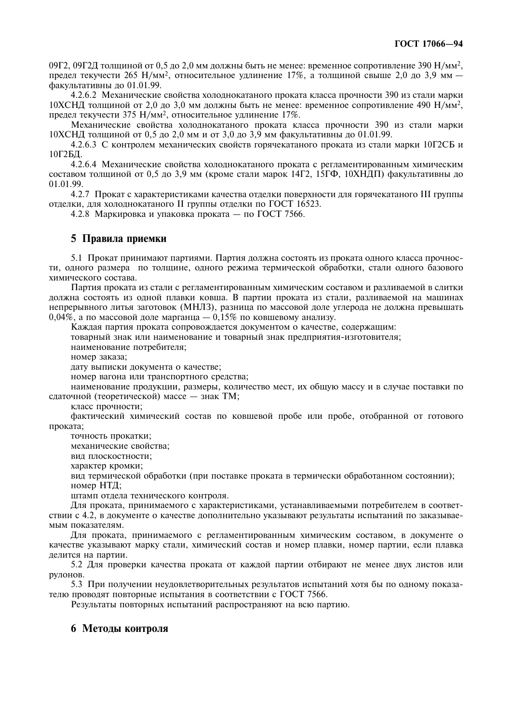09Г2, 09Г2Д толщиной от 0,5 до 2,0 мм должны быть не менее: временное сопротивление 390  $H/MM^2$ , предел текучести 265 Н/мм<sup>2</sup>, относительное удлинение 17%, а толщиной свыше 2.0 до 3.9 мм – факультативны до 01.01.99.

4.2.6.2 Механические свойства холоднокатаного проката класса прочности 390 из стали марки 10ХСНД толщиной от 2,0 до 3,0 мм должны быть не менее: временное сопротивление 490  $H/\text{mm}^2$ , предел текучести 375 Н/мм<sup>2</sup>, относительное удлинение 17%.

Механические свойства холоднокатаного проката класса прочности 390 из стали марки 10ХСНД толщиной от 0,5 до 2,0 мм и от 3,0 до 3,9 мм факультативны до 01.01.99.

4.2.6.3 С контролем механических свойств горячекатаного проката из стали марки 10Г2СБ и 10Г2БД.

4.2.6.4 Механические свойства холоднокатаного проката с регламентированным химическим составом толщиной от 0,5 до 3,9 мм (кроме стали марок 14Г2, 15ГФ, 10ХНДП) факультативны до 01.01.99.

4.2.7 Прокат с характеристиками качества отделки поверхности для горячекатаного III группы отделки, для холоднокатаного II группы отделки по ГОСТ 16523.

4.2.8 Маркировка и упаковка проката — по ГОСТ 7566.

### 5 Правила приемки

5.1 Прокат принимают партиями. Партия должна состоять из проката одного класса прочности, одного размера по толщине, одного режима термической обработки, стали одного базового химического состава.

Партия проката из стали с регламентированным химическим составом и разливаемой в слитки должна состоять из одной плавки ковша. В партии проката из стали, разливаемой на машинах непрерывного литья заготовок (МНЛЗ), разница по массовой доле углерода не должна превышать  $0.04\%$ , а по массовой лоле марганца — 0.15% по ковшевому анализу.

Каждая партия проката сопровождается документом о качестве, содержащим:

товарный знак или наименование и товарный знак предприятия-изготовителя;

наименование потребителя:

номер заказа:

дату выписки документа о качестве:

номер вагона или транспортного средства;

наименование продукции, размеры, количество мест, их общую массу и в случае поставки по сдаточной (теоретической) массе - знак ТМ;

класс прочности;

фактический химический состав по ковшевой пробе или пробе, отобранной от готового проката;

точность прокатки;

механические свойства:

вид плоскостности;

характер кромки;

вид термической обработки (при поставке проката в термически обработанном состоянии); номер НТД;

штамп отдела технического контроля.

Для проката, принимаемого с характеристиками, устанавливаемыми потребителем в соответствии с 4.2, в документе о качестве дополнительно указывают результаты испытаний по заказываемым показателям.

Для проката, принимаемого с регламентированным химическим составом, в документе о качестве указывают марку стали, химический состав и номер плавки, номер партии, если плавка делится на партии.

5.2 Для проверки качества проката от каждой партии отбирают не менее двух листов или рулонов.

5.3 При получении неудовлетворительных результатов испытаний хотя бы по одному показателю проводят повторные испытания в соответствии с ГОСТ 7566.

Результаты повторных испытаний распространяют на всю партию.

## 6 Методы контроля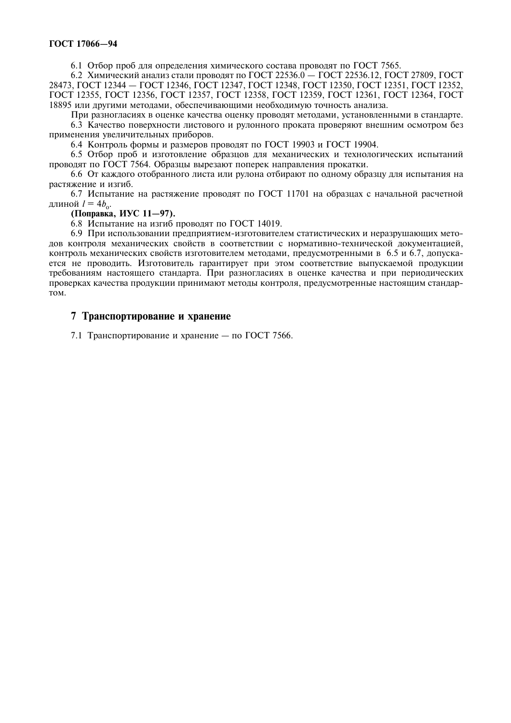6.1 Отбор проб для определения химического состава проводят по ГОСТ 7565.

6.2 Химический анализ стали проводят по ГОСТ 22536.0 - ГОСТ 22536.12, ГОСТ 27809, ГОСТ 28473, ГОСТ 12344 — ГОСТ 12346, ГОСТ 12347, ГОСТ 12348, ГОСТ 12350, ГОСТ 12351, ГОСТ 12352, FOCT 12355, FOCT 12356, FOCT 12357, FOCT 12358, FOCT 12359, FOCT 12361, FOCT 12364, FOCT 18895 или другими методами, обеспечивающими необходимую точность анализа.

При разногласиях в оценке качества оценку проводят методами, установленными в стандарте. 6.3 Качество поверхности листового и рулонного проката проверяют внешним осмотром без применения увеличительных приборов.

6.4 Контроль формы и размеров проводят по ГОСТ 19903 и ГОСТ 19904.

6.5 Отбор проб и изготовление образцов для механических и технологических испытаний проводят по ГОСТ 7564. Образцы вырезают поперек направления прокатки.

6.6 От каждого отобранного листа или рулона отбирают по одному образцу для испытания на растяжение и изгиб.

6.7 Испытание на растяжение проводят по ГОСТ 11701 на образцах с начальной расчетной длиной  $l = 4b_0$ .

(Поправка, ИУС 11-97).

6.8 Испытание на изгиб проводят по ГОСТ 14019.

6.9 При использовании предприятием-изготовителем статистических и неразрушающих метолов контроля механических свойств в соответствии с нормативно-технической локументацией, контроль механических свойств изготовителем методами, предусмотренными в 6.5 и 6.7, допускается не проводить. Изготовитель гарантирует при этом соответствие выпускаемой продукции требованиям настоящего стандарта. При разногласиях в оценке качества и при периодических проверках качества продукции принимают методы контроля, предусмотренные настоящим стандар-TOM.

# 7 Транспортирование и хранение

7.1 Транспортирование и хранение — по ГОСТ 7566.